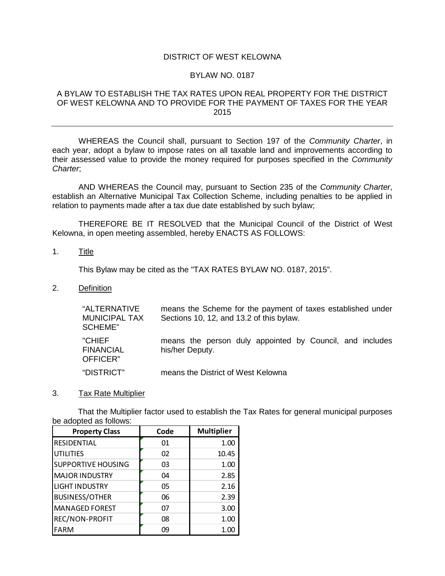# DISTRICT OF WEST KELOWNA

## BYLAW NO. 0187

# A BYLAW TO ESTABLISH THE TAX RATES UPON REAL PROPERTY FOR THE DISTRICT OF WEST KELOWNA AND TO PROVIDE FOR THE PAYMENT OF TAXES FOR THE YEAR 2015

WHEREAS the Council shall, pursuant to Section 197 of the *Community Charter*, in each year, adopt a bylaw to impose rates on all taxable land and improvements according to their assessed value to provide the money required for purposes specified in the *Community Charter*;

AND WHEREAS the Council may, pursuant to Section 235 of the *Community Charter*, establish an Alternative Municipal Tax Collection Scheme, including penalties to be applied in relation to payments made after a tax due date established by such bylaw;

THEREFORE BE IT RESOLVED that the Municipal Council of the District of West Kelowna, in open meeting assembled, hereby ENACTS AS FOLLOWS:

## 1. Title

This Bylaw may be cited as the "TAX RATES BYLAW NO. 0187, 2015".

2. Definition

| "ALTERNATIVE<br><b>MUNICIPAL TAX</b><br>SCHEME" | means the Scheme for the payment of taxes established under<br>Sections 10, 12, and 13.2 of this bylaw. |  |  |  |  |  |  |  |
|-------------------------------------------------|---------------------------------------------------------------------------------------------------------|--|--|--|--|--|--|--|
| "CHIEF<br><b>FINANCIAL</b><br>OFFICER"          | means the person duly appointed by Council, and includes<br>his/her Deputy.                             |  |  |  |  |  |  |  |
| "DISTRICT"                                      | means the District of West Kelowna                                                                      |  |  |  |  |  |  |  |

#### 3. Tax Rate Multiplier

That the Multiplier factor used to establish the Tax Rates for general municipal purposes be adopted as follows:

| <b>Property Class</b>     | Code | <b>Multiplier</b> |
|---------------------------|------|-------------------|
| RESIDENTIAL               | 01   | 1.00              |
| <b>UTILITIES</b>          | 02   | 10.45             |
| <b>SUPPORTIVE HOUSING</b> | 03   | 1.00              |
| <b>MAJOR INDUSTRY</b>     | 04   | 2.85              |
| <b>LIGHT INDUSTRY</b>     | 05   | 2.16              |
| <b>BUSINESS/OTHER</b>     | 06   | 2.39              |
| <b>MANAGED FOREST</b>     | 07   | 3.00              |
| REC/NON-PROFIT            | 08   | 1.00              |
| <b>FARM</b>               | 09   |                   |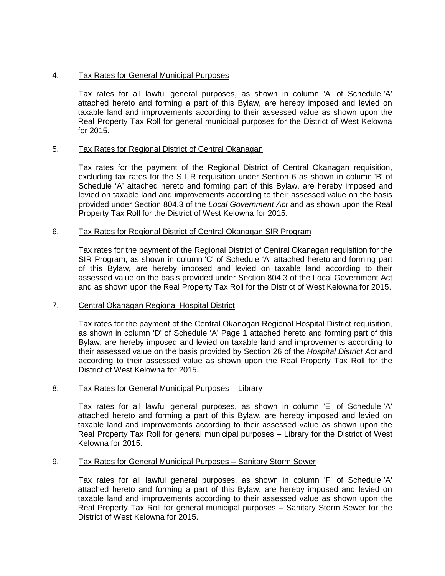# 4. Tax Rates for General Municipal Purposes

Tax rates for all lawful general purposes, as shown in column 'A' of Schedule 'A' attached hereto and forming a part of this Bylaw, are hereby imposed and levied on taxable land and improvements according to their assessed value as shown upon the Real Property Tax Roll for general municipal purposes for the District of West Kelowna for 2015.

# 5. Tax Rates for Regional District of Central Okanagan

Tax rates for the payment of the Regional District of Central Okanagan requisition, excluding tax rates for the S I R requisition under Section 6 as shown in column 'B' of Schedule 'A' attached hereto and forming part of this Bylaw, are hereby imposed and levied on taxable land and improvements according to their assessed value on the basis provided under Section 804.3 of the *Local Government Act* and as shown upon the Real Property Tax Roll for the District of West Kelowna for 2015.

# 6. Tax Rates for Regional District of Central Okanagan SIR Program

Tax rates for the payment of the Regional District of Central Okanagan requisition for the SIR Program, as shown in column 'C' of Schedule 'A' attached hereto and forming part of this Bylaw, are hereby imposed and levied on taxable land according to their assessed value on the basis provided under Section 804.3 of the Local Government Act and as shown upon the Real Property Tax Roll for the District of West Kelowna for 2015.

# 7. Central Okanagan Regional Hospital District

Tax rates for the payment of the Central Okanagan Regional Hospital District requisition, as shown in column 'D' of Schedule 'A' Page 1 attached hereto and forming part of this Bylaw, are hereby imposed and levied on taxable land and improvements according to their assessed value on the basis provided by Section 26 of the *Hospital District Act* and according to their assessed value as shown upon the Real Property Tax Roll for the District of West Kelowna for 2015.

#### 8. Tax Rates for General Municipal Purposes – Library

Tax rates for all lawful general purposes, as shown in column 'E' of Schedule 'A' attached hereto and forming a part of this Bylaw, are hereby imposed and levied on taxable land and improvements according to their assessed value as shown upon the Real Property Tax Roll for general municipal purposes – Library for the District of West Kelowna for 2015.

#### 9. Tax Rates for General Municipal Purposes – Sanitary Storm Sewer

Tax rates for all lawful general purposes, as shown in column 'F' of Schedule 'A' attached hereto and forming a part of this Bylaw, are hereby imposed and levied on taxable land and improvements according to their assessed value as shown upon the Real Property Tax Roll for general municipal purposes – Sanitary Storm Sewer for the District of West Kelowna for 2015.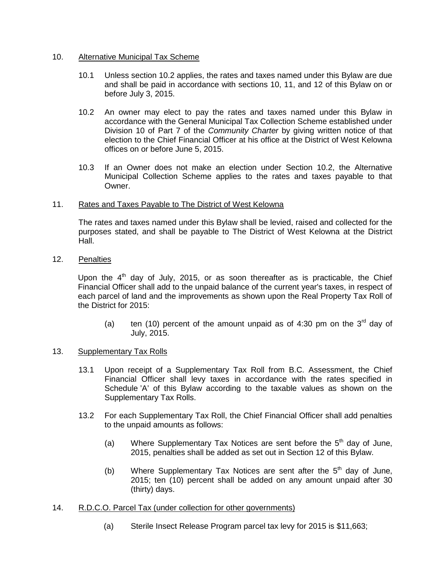## 10. Alternative Municipal Tax Scheme

- 10.1 Unless section 10.2 applies, the rates and taxes named under this Bylaw are due and shall be paid in accordance with sections 10, 11, and 12 of this Bylaw on or before July 3, 2015.
- 10.2 An owner may elect to pay the rates and taxes named under this Bylaw in accordance with the General Municipal Tax Collection Scheme established under Division 10 of Part 7 of the *Community Charter* by giving written notice of that election to the Chief Financial Officer at his office at the District of West Kelowna offices on or before June 5, 2015.
- 10.3 If an Owner does not make an election under Section 10.2, the Alternative Municipal Collection Scheme applies to the rates and taxes payable to that Owner.

# 11. Rates and Taxes Payable to The District of West Kelowna

The rates and taxes named under this Bylaw shall be levied, raised and collected for the purposes stated, and shall be payable to The District of West Kelowna at the District Hall.

12. Penalties

Upon the  $4<sup>th</sup>$  day of July, 2015, or as soon thereafter as is practicable, the Chief Financial Officer shall add to the unpaid balance of the current year's taxes, in respect of each parcel of land and the improvements as shown upon the Real Property Tax Roll of the District for 2015:

(a) ten (10) percent of the amount unpaid as of 4:30 pm on the  $3<sup>rd</sup>$  day of July, 2015.

# 13. Supplementary Tax Rolls

- 13.1 Upon receipt of a Supplementary Tax Roll from B.C. Assessment, the Chief Financial Officer shall levy taxes in accordance with the rates specified in Schedule 'A' of this Bylaw according to the taxable values as shown on the Supplementary Tax Rolls.
- 13.2 For each Supplementary Tax Roll, the Chief Financial Officer shall add penalties to the unpaid amounts as follows:
	- (a) Where Supplementary Tax Notices are sent before the  $5<sup>th</sup>$  day of June, 2015, penalties shall be added as set out in Section 12 of this Bylaw.
	- (b) Where Supplementary Tax Notices are sent after the  $5<sup>th</sup>$  day of June, 2015; ten (10) percent shall be added on any amount unpaid after 30 (thirty) days.
- 14. R.D.C.O. Parcel Tax (under collection for other governments)
	- (a) Sterile Insect Release Program parcel tax levy for 2015 is \$11,663;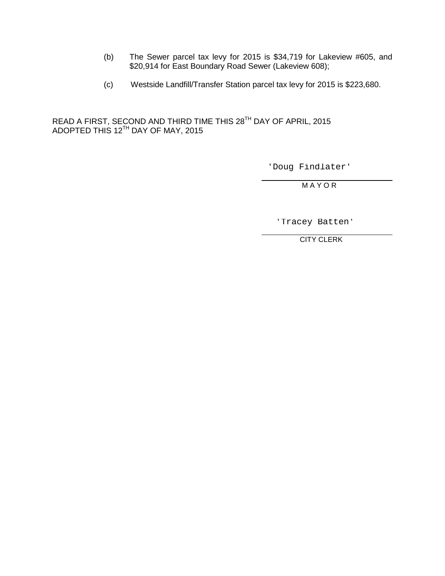- (b) The Sewer parcel tax levy for 2015 is \$34,719 for Lakeview #605, and \$20,914 for East Boundary Road Sewer (Lakeview 608);
- (c) Westside Landfill/Transfer Station parcel tax levy for 2015 is \$223,680.

READ A FIRST, SECOND AND THIRD TIME THIS 28TH DAY OF APRIL, 2015 ADOPTED THIS 12 $^{\text{\tiny{\textsf{TH}}}}$  DAY OF MAY, 2015

'Doug Findlater'

M A Y O R

'Tracey Batten'

CITY CLERK